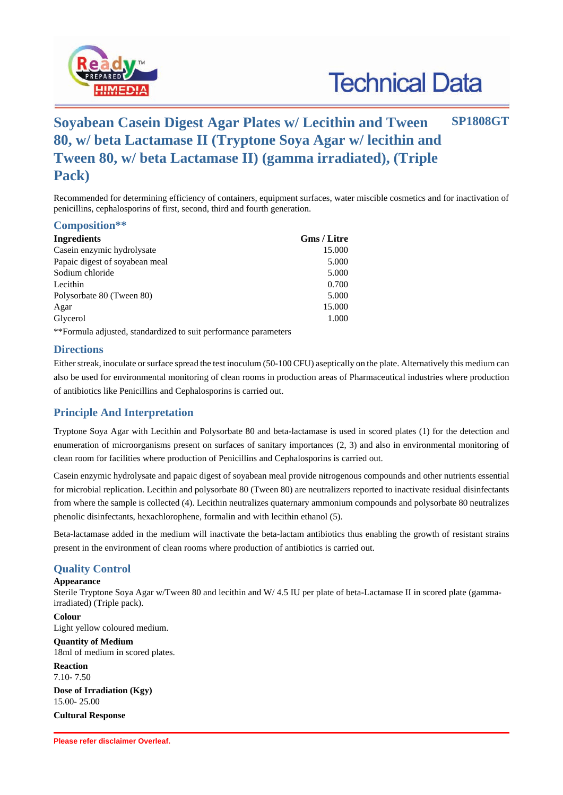

# **Technical Data**

# **Soyabean Casein Digest Agar Plates w/ Lecithin and Tween 80, w/ beta Lactamase II (Tryptone Soya Agar w/ lecithin and Tween 80, w/ beta Lactamase II) (gamma irradiated), (Triple Pack) SP1808GT**

Recommended for determining efficiency of containers, equipment surfaces, water miscible cosmetics and for inactivation of penicillins, cephalosporins of first, second, third and fourth generation.

|  | Composition** |  |
|--|---------------|--|
|--|---------------|--|

| Ingredients                                                     | Gms / Litre |
|-----------------------------------------------------------------|-------------|
| Casein enzymic hydrolysate                                      | 15.000      |
| Papaic digest of soyabean meal                                  | 5.000       |
| Sodium chloride                                                 | 5.000       |
| Lecithin                                                        | 0.700       |
| Polysorbate 80 (Tween 80)                                       | 5.000       |
| Agar                                                            | 15.000      |
| Glycerol                                                        | 1.000       |
| **Formula adjusted, standardized to suit performance parameters |             |

**Directions**

Either streak, inoculate or surface spread the test inoculum (50-100 CFU) aseptically on the plate. Alternatively this medium can also be used for environmental monitoring of clean rooms in production areas of Pharmaceutical industries where production of antibiotics like Penicillins and Cephalosporins is carried out.

### **Principle And Interpretation**

Tryptone Soya Agar with Lecithin and Polysorbate 80 and beta-lactamase is used in scored plates (1) for the detection and enumeration of microorganisms present on surfaces of sanitary importances (2, 3) and also in environmental monitoring of clean room for facilities where production of Penicillins and Cephalosporins is carried out.

Casein enzymic hydrolysate and papaic digest of soyabean meal provide nitrogenous compounds and other nutrients essential for microbial replication. Lecithin and polysorbate 80 (Tween 80) are neutralizers reported to inactivate residual disinfectants from where the sample is collected (4). Lecithin neutralizes quaternary ammonium compounds and polysorbate 80 neutralizes phenolic disinfectants, hexachlorophene, formalin and with lecithin ethanol (5).

Beta-lactamase added in the medium will inactivate the beta-lactam antibiotics thus enabling the growth of resistant strains present in the environment of clean rooms where production of antibiotics is carried out.

## **Quality Control**

#### **Appearance**

Sterile Tryptone Soya Agar w/Tween 80 and lecithin and W/ 4.5 IU per plate of beta-Lactamase II in scored plate (gammairradiated) (Triple pack).

**Colour** Light yellow coloured medium.

# **Quantity of Medium**

18ml of medium in scored plates.

**Reaction** 7.10- 7.50

**Dose of Irradiation (Kgy)** 15.00- 25.00

**Cultural Response**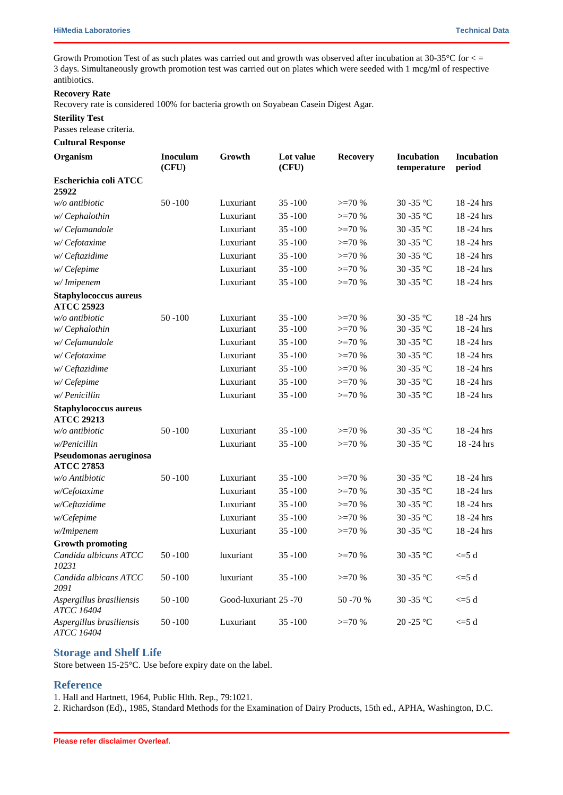Growth Promotion Test of as such plates was carried out and growth was observed after incubation at 30-35 °C for  $\lt$  = 3 days. Simultaneously growth promotion test was carried out on plates which were seeded with 1 mcg/ml of respective antibiotics.

#### **Recovery Rate**

Recovery rate is considered 100% for bacteria growth on Soyabean Casein Digest Agar.

#### **Sterility Test**

Passes release criteria.

#### **Cultural Response**

| Organism                                          | <b>Inoculum</b><br>(CFU) | Growth                | Lot value<br>(CFU) | <b>Recovery</b> | <b>Incubation</b><br>temperature | Incubation<br>period |
|---------------------------------------------------|--------------------------|-----------------------|--------------------|-----------------|----------------------------------|----------------------|
| Escherichia coli ATCC<br>25922                    |                          |                       |                    |                 |                                  |                      |
| w/o antibiotic                                    | $50 - 100$               | Luxuriant             | $35 - 100$         | $>=70%$         | $30$ -35 $^{\circ} \mathrm{C}$   | $18 - 24$ hrs        |
| w/Cephalothin                                     |                          | Luxuriant             | $35 - 100$         | $>=70%$         | 30-35 °C                         | $18 - 24$ hrs        |
| w/Cefamandole                                     |                          | Luxuriant             | $35 - 100$         | $>=70%$         | 30 - 35 °C                       | 18 - 24 hrs          |
| w/Cefotaxime                                      |                          | Luxuriant             | $35 - 100$         | $>=70%$         | 30-35 °C                         | $18 - 24$ hrs        |
| w/Ceftazidime                                     |                          | Luxuriant             | $35 - 100$         | $>=70%$         | 30-35 °C                         | $18 - 24$ hrs        |
| w/Cefepime                                        |                          | Luxuriant             | $35 - 100$         | $>=70%$         | 30 - 35 °C                       | 18-24 hrs            |
| w/Imipenem                                        |                          | Luxuriant             | $35 - 100$         | $>=70%$         | 30 - 35 °C                       | $18 - 24$ hrs        |
| <b>Staphylococcus aureus</b><br><b>ATCC 25923</b> |                          |                       |                    |                 |                                  |                      |
| $w/o$ antibiotic                                  | $50 - 100$               | Luxuriant             | $35 - 100$         | $>=70%$         | 30-35 °C                         | 18 - 24 hrs          |
| w/Cephalothin                                     |                          | Luxuriant             | $35 - 100$         | $>=70%$         | 30-35 °C                         | $18 - 24$ hrs        |
| w/Cefamandole                                     |                          | Luxuriant             | $35 - 100$         | $>=70%$         | 30 - 35 °C                       | 18 - 24 hrs          |
| w/Cefotaxime                                      |                          | Luxuriant             | $35 - 100$         | $>=70%$         | 30 - 35 °C                       | 18 - 24 hrs          |
| w/Ceftazidime                                     |                          | Luxuriant             | $35 - 100$         | $>=70%$         | 30 - 35 °C                       | 18-24 hrs            |
| w/Cefepime                                        |                          | Luxuriant             | $35 - 100$         | $>=70%$         | 30 - 35 °C                       | 18-24 hrs            |
| w/Penicillin                                      |                          | Luxuriant             | $35 - 100$         | $>=70%$         | 30 - 35 °C                       | 18-24 hrs            |
| <b>Staphylococcus aureus</b><br><b>ATCC 29213</b> |                          |                       |                    |                 |                                  |                      |
| $w/o$ antibiotic                                  | $50 - 100$               | Luxuriant             | $35 - 100$         | $>=70%$         | 30 - 35 °C                       | $18 - 24$ hrs        |
| w/Penicillin                                      |                          | Luxuriant             | $35 - 100$         | $>=70%$         | 30 - 35 °C                       | 18-24 hrs            |
| Pseudomonas aeruginosa<br><b>ATCC 27853</b>       |                          |                       |                    |                 |                                  |                      |
| w/o Antibiotic                                    | $50 - 100$               | Luxuriant             | $35 - 100$         | $>=70%$         | 30 - 35 °C                       | 18-24 hrs            |
| w/Cefotaxime                                      |                          | Luxuriant             | $35 - 100$         | $>=70%$         | 30-35 °C                         | 18-24 hrs            |
| w/Ceftazidime                                     |                          | Luxuriant             | $35 - 100$         | $>=70%$         | 30 - 35 °C                       | 18-24 hrs            |
| w/Cefepime                                        |                          | Luxuriant             | $35 - 100$         | $>=70%$         | 30-35 °C                         | 18-24 hrs            |
| w/Imipenem                                        |                          | Luxuriant             | $35 - 100$         | $>=70%$         | 30-35 °C                         | 18-24 hrs            |
| <b>Growth promoting</b>                           |                          |                       |                    |                 |                                  |                      |
| Candida albicans ATCC<br>10231                    | $50 - 100$               | luxuriant             | 35 - 100           | $>=70%$         | 30 - 35 °C                       | $<=5$ d              |
| Candida albicans ATCC<br>2091                     | $50 - 100$               | luxuriant             | $35 - 100$         | $>=70%$         | $30$ -35 $^{\circ}\mathrm{C}$    | $\leq 5d$            |
| Aspergillus brasiliensis<br><b>ATCC 16404</b>     | $50 - 100$               | Good-luxuriant 25 -70 |                    | 50 - 70 %       | 30 - 35 °C                       | $\leq 5d$            |
| Aspergillus brasiliensis<br><b>ATCC 16404</b>     | $50 - 100$               | Luxuriant             | $35 - 100$         | $>=70%$         | $20 - 25$ °C                     | $\leq 5$ d           |

#### **Storage and Shelf Life**

Store between 15-25°C. Use before expiry date on the label.

#### **Reference**

1. Hall and Hartnett, 1964, Public Hlth. Rep., 79:1021.

2. Richardson (Ed)., 1985, Standard Methods for the Examination of Dairy Products, 15th ed., APHA, Washington, D.C.